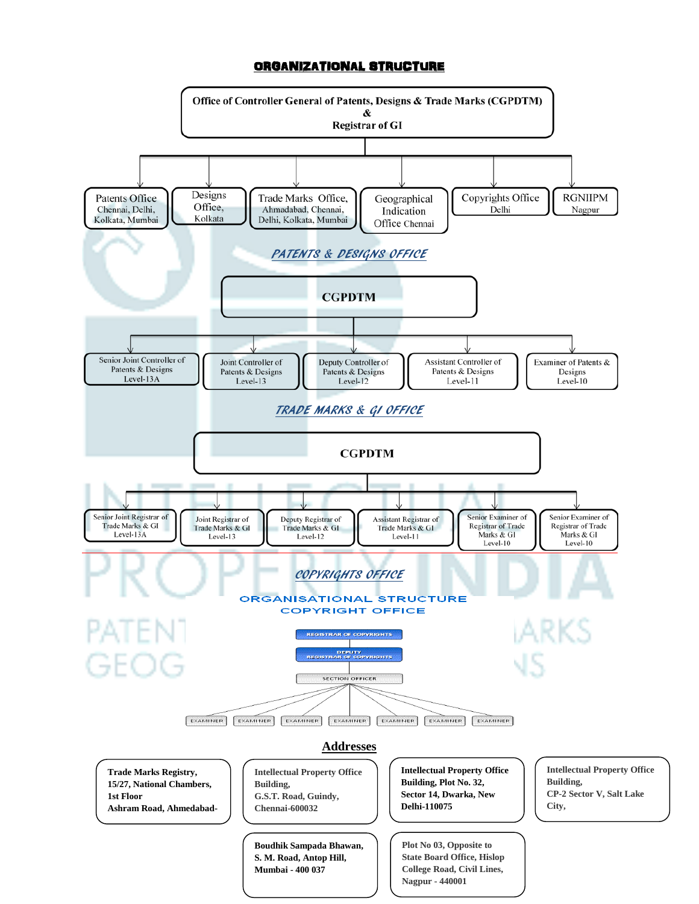### ORGANIZATIONAL STRUCTURE

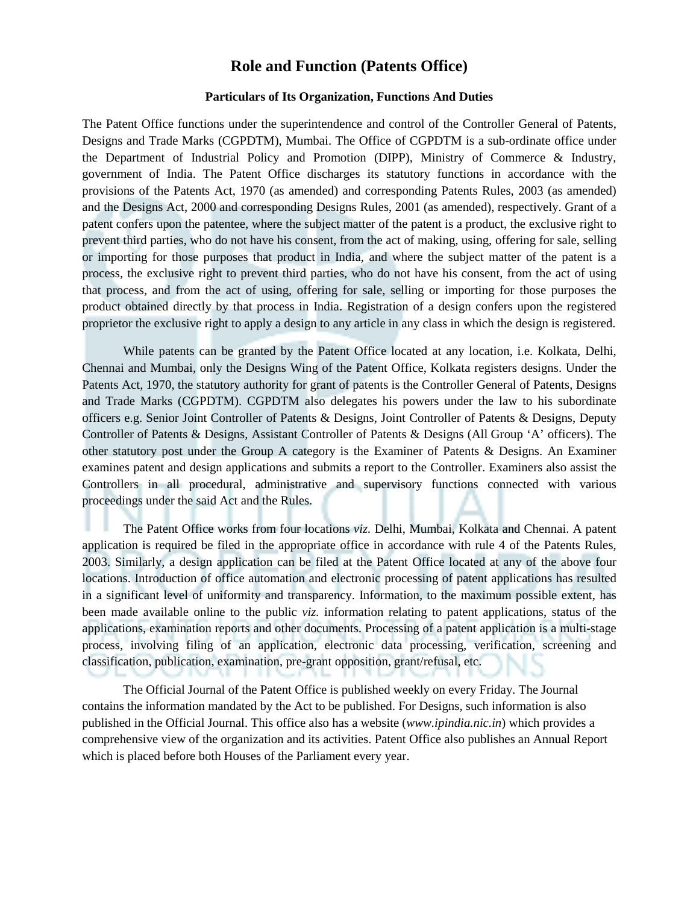### **Role and Function (Patents Office)**

#### **Particulars of Its Organization, Functions And Duties**

The Patent Office functions under the superintendence and control of the Controller General of Patents, Designs and Trade Marks (CGPDTM), Mumbai. The Office of CGPDTM is a sub-ordinate office under the Department of Industrial Policy and Promotion (DIPP), Ministry of Commerce & Industry, government of India. The Patent Office discharges its statutory functions in accordance with the provisions of the Patents Act, 1970 (as amended) and corresponding Patents Rules, 2003 (as amended) and the Designs Act, 2000 and corresponding Designs Rules, 2001 (as amended), respectively. Grant of a patent confers upon the patentee, where the subject matter of the patent is a product, the exclusive right to prevent third parties, who do not have his consent, from the act of making, using, offering for sale, selling or importing for those purposes that product in India, and where the subject matter of the patent is a process, the exclusive right to prevent third parties, who do not have his consent, from the act of using that process, and from the act of using, offering for sale, selling or importing for those purposes the product obtained directly by that process in India. Registration of a design confers upon the registered proprietor the exclusive right to apply a design to any article in any class in which the design is registered.

While patents can be granted by the Patent Office located at any location, i.e. Kolkata, Delhi, Chennai and Mumbai, only the Designs Wing of the Patent Office, Kolkata registers designs. Under the Patents Act, 1970, the statutory authority for grant of patents is the Controller General of Patents, Designs and Trade Marks (CGPDTM). CGPDTM also delegates his powers under the law to his subordinate officers e.g. Senior Joint Controller of Patents & Designs, Joint Controller of Patents & Designs, Deputy Controller of Patents & Designs, Assistant Controller of Patents & Designs (All Group 'A' officers). The other statutory post under the Group A category is the Examiner of Patents & Designs. An Examiner examines patent and design applications and submits a report to the Controller. Examiners also assist the Controllers in all procedural, administrative and supervisory functions connected with various proceedings under the said Act and the Rules.

The Patent Office works from four locations *viz.* Delhi, Mumbai, Kolkata and Chennai. A patent application is required be filed in the appropriate office in accordance with rule 4 of the Patents Rules, 2003. Similarly, a design application can be filed at the Patent Office located at any of the above four locations. Introduction of office automation and electronic processing of patent applications has resulted in a significant level of uniformity and transparency. Information, to the maximum possible extent, has been made available online to the public *viz.* information relating to patent applications, status of the applications, examination reports and other documents. Processing of a patent application is a multi-stage process, involving filing of an application, electronic data processing, verification, screening and classification, publication, examination, pre-grant opposition, grant/refusal, etc.

The Official Journal of the Patent Office is published weekly on every Friday. The Journal contains the information mandated by the Act to be published. For Designs, such information is also published in the Official Journal. This office also has a website (*www.ipindia.nic.in*) which provides a comprehensive view of the organization and its activities. Patent Office also publishes an Annual Report which is placed before both Houses of the Parliament every year.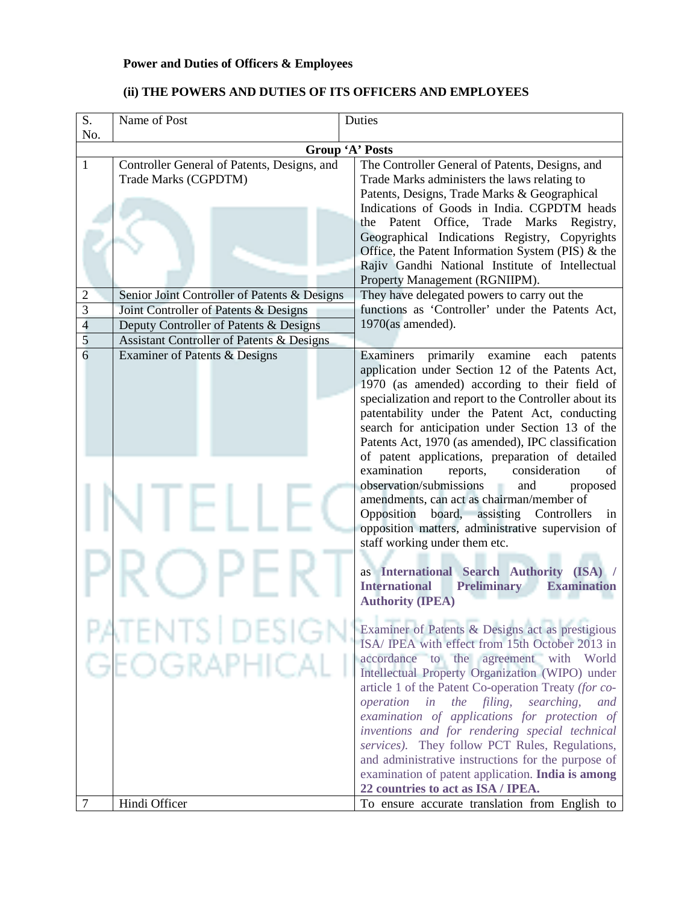## **Power and Duties of Officers & Employees**

| S.             | Name of Post                                                               | Duties                                                                                                                                                                                                                                                                                                                                                                                                                                                                                                                                                                                                                                                                                                                                                                                                                                                           |
|----------------|----------------------------------------------------------------------------|------------------------------------------------------------------------------------------------------------------------------------------------------------------------------------------------------------------------------------------------------------------------------------------------------------------------------------------------------------------------------------------------------------------------------------------------------------------------------------------------------------------------------------------------------------------------------------------------------------------------------------------------------------------------------------------------------------------------------------------------------------------------------------------------------------------------------------------------------------------|
| No.            |                                                                            | Group 'A' Posts                                                                                                                                                                                                                                                                                                                                                                                                                                                                                                                                                                                                                                                                                                                                                                                                                                                  |
| 1              | Controller General of Patents, Designs, and<br>Trade Marks (CGPDTM)        | The Controller General of Patents, Designs, and<br>Trade Marks administers the laws relating to<br>Patents, Designs, Trade Marks & Geographical<br>Indications of Goods in India. CGPDTM heads<br>the Patent Office, Trade Marks<br>Registry,<br>Geographical Indications Registry, Copyrights<br>Office, the Patent Information System (PIS) & the<br>Rajiv Gandhi National Institute of Intellectual<br>Property Management (RGNIIPM).                                                                                                                                                                                                                                                                                                                                                                                                                         |
| $\overline{c}$ | Senior Joint Controller of Patents & Designs                               | They have delegated powers to carry out the                                                                                                                                                                                                                                                                                                                                                                                                                                                                                                                                                                                                                                                                                                                                                                                                                      |
| 3              | Joint Controller of Patents & Designs                                      | functions as 'Controller' under the Patents Act,                                                                                                                                                                                                                                                                                                                                                                                                                                                                                                                                                                                                                                                                                                                                                                                                                 |
| $\overline{4}$ | Deputy Controller of Patents & Designs                                     | $1970$ (as amended).                                                                                                                                                                                                                                                                                                                                                                                                                                                                                                                                                                                                                                                                                                                                                                                                                                             |
| 5<br>6         | Assistant Controller of Patents & Designs<br>Examiner of Patents & Designs | Examiners<br>primarily examine each<br>patents<br>application under Section 12 of the Patents Act,<br>1970 (as amended) according to their field of<br>specialization and report to the Controller about its<br>patentability under the Patent Act, conducting<br>search for anticipation under Section 13 of the<br>Patents Act, 1970 (as amended), IPC classification<br>of patent applications, preparation of detailed<br>examination<br>consideration<br>reports,<br>of<br>observation/submissions<br>and<br>proposed<br>amendments, can act as chairman/member of<br>Opposition<br>board,<br>assisting Controllers<br>in<br>opposition matters, administrative supervision of<br>staff working under them etc.<br>as International Search Authority (ISA) /<br><b>International</b><br><b>Preliminary</b><br><b>Examination</b><br><b>Authority (IPEA)</b> |
|                | TS LDESIG<br>EOGRAPHICAL                                                   | Examiner of Patents & Designs act as prestigious<br>ISA/ IPEA with effect from 15th October 2013 in<br>accordance to the agreement with<br>World<br>Intellectual Property Organization (WIPO) under<br>article 1 of the Patent Co-operation Treaty (for co-<br>operation<br>in<br><i>the filing,</i><br>searching,<br>and<br>examination of applications for protection of<br>inventions and for rendering special technical<br>services). They follow PCT Rules, Regulations,<br>and administrative instructions for the purpose of<br>examination of patent application. India is among<br>22 countries to act as ISA / IPEA.                                                                                                                                                                                                                                  |
| 7              | Hindi Officer                                                              | To ensure accurate translation from English to                                                                                                                                                                                                                                                                                                                                                                                                                                                                                                                                                                                                                                                                                                                                                                                                                   |

## **(ii) THE POWERS AND DUTIES OF ITS OFFICERS AND EMPLOYEES**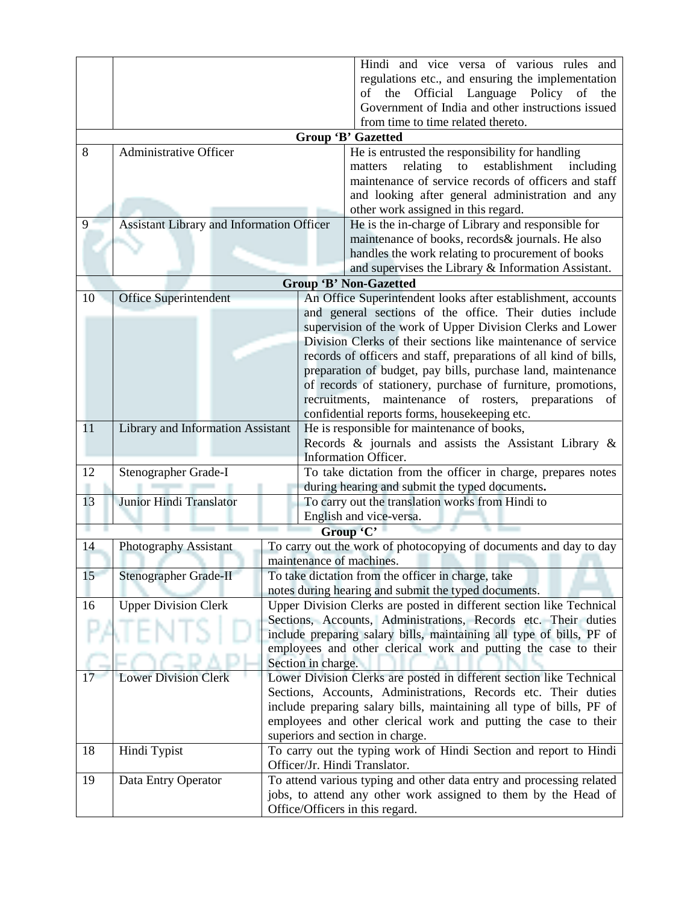|    |                                                  |                                                                                                                                        |               | Hindi and vice versa of various rules and                                                                      |
|----|--------------------------------------------------|----------------------------------------------------------------------------------------------------------------------------------------|---------------|----------------------------------------------------------------------------------------------------------------|
|    |                                                  |                                                                                                                                        |               | regulations etc., and ensuring the implementation                                                              |
|    |                                                  |                                                                                                                                        |               | Official Language Policy of the<br>the<br>of                                                                   |
|    |                                                  |                                                                                                                                        |               | Government of India and other instructions issued                                                              |
|    |                                                  |                                                                                                                                        |               | from time to time related thereto.                                                                             |
|    |                                                  |                                                                                                                                        |               | <b>Group 'B' Gazetted</b>                                                                                      |
| 8  | <b>Administrative Officer</b>                    |                                                                                                                                        |               | He is entrusted the responsibility for handling                                                                |
|    |                                                  |                                                                                                                                        |               | relating<br>${\rm to}$<br>establishment<br>including<br>matters                                                |
|    |                                                  |                                                                                                                                        |               | maintenance of service records of officers and staff                                                           |
|    |                                                  |                                                                                                                                        |               | and looking after general administration and any                                                               |
| 9  | <b>Assistant Library and Information Officer</b> |                                                                                                                                        |               | other work assigned in this regard.                                                                            |
|    |                                                  |                                                                                                                                        |               | He is the in-charge of Library and responsible for<br>maintenance of books, records& journals. He also         |
|    |                                                  |                                                                                                                                        |               | handles the work relating to procurement of books                                                              |
|    |                                                  |                                                                                                                                        |               | and supervises the Library & Information Assistant.                                                            |
|    |                                                  |                                                                                                                                        |               | <b>Group 'B' Non-Gazetted</b>                                                                                  |
| 10 | <b>Office Superintendent</b>                     |                                                                                                                                        |               | An Office Superintendent looks after establishment, accounts                                                   |
|    |                                                  |                                                                                                                                        |               | and general sections of the office. Their duties include                                                       |
|    |                                                  |                                                                                                                                        |               | supervision of the work of Upper Division Clerks and Lower                                                     |
|    |                                                  |                                                                                                                                        |               | Division Clerks of their sections like maintenance of service                                                  |
|    |                                                  |                                                                                                                                        |               | records of officers and staff, preparations of all kind of bills,                                              |
|    |                                                  |                                                                                                                                        |               | preparation of budget, pay bills, purchase land, maintenance                                                   |
|    |                                                  |                                                                                                                                        |               | of records of stationery, purchase of furniture, promotions,                                                   |
|    |                                                  |                                                                                                                                        | recruitments, | maintenance<br>of rosters, preparations<br>- of                                                                |
|    |                                                  |                                                                                                                                        |               | confidential reports forms, housekeeping etc.                                                                  |
| 11 | Library and Information Assistant                |                                                                                                                                        |               | He is responsible for maintenance of books,                                                                    |
|    |                                                  |                                                                                                                                        |               | Records $\&$ journals and assists the Assistant Library $\&$                                                   |
| 12 |                                                  |                                                                                                                                        |               | Information Officer.                                                                                           |
|    | Stenographer Grade-I                             |                                                                                                                                        |               | To take dictation from the officer in charge, prepares notes<br>during hearing and submit the typed documents. |
| 13 | Junior Hindi Translator                          |                                                                                                                                        |               | To carry out the translation works from Hindi to                                                               |
|    |                                                  |                                                                                                                                        |               | English and vice-versa.                                                                                        |
|    |                                                  |                                                                                                                                        |               | Group 'C'                                                                                                      |
| 14 | Photography Assistant                            |                                                                                                                                        |               | To carry out the work of photocopying of documents and day to day                                              |
|    |                                                  |                                                                                                                                        |               | maintenance of machines.                                                                                       |
| 15 | Stenographer Grade-II                            |                                                                                                                                        |               | To take dictation from the officer in charge, take                                                             |
|    |                                                  |                                                                                                                                        |               | notes during hearing and submit the typed documents.                                                           |
| 16 | <b>Upper Division Clerk</b>                      | Upper Division Clerks are posted in different section like Technical<br>Sections, Accounts, Administrations, Records etc. Their duties |               |                                                                                                                |
|    |                                                  |                                                                                                                                        |               | include preparing salary bills, maintaining all type of bills, PF of                                           |
|    |                                                  |                                                                                                                                        |               | employees and other clerical work and putting the case to their                                                |
|    |                                                  |                                                                                                                                        |               |                                                                                                                |
| 17 | <b>Lower Division Clerk</b>                      | Section in charge.<br>Lower Division Clerks are posted in different section like Technical                                             |               |                                                                                                                |
|    |                                                  | Sections, Accounts, Administrations, Records etc. Their duties                                                                         |               |                                                                                                                |
|    |                                                  |                                                                                                                                        |               | include preparing salary bills, maintaining all type of bills, PF of                                           |
|    |                                                  |                                                                                                                                        |               | employees and other clerical work and putting the case to their                                                |
|    |                                                  |                                                                                                                                        |               | superiors and section in charge.                                                                               |
| 18 | Hindi Typist                                     |                                                                                                                                        |               | To carry out the typing work of Hindi Section and report to Hindi                                              |
|    |                                                  |                                                                                                                                        |               | Officer/Jr. Hindi Translator.                                                                                  |
| 19 | Data Entry Operator                              | To attend various typing and other data entry and processing related                                                                   |               |                                                                                                                |
|    |                                                  |                                                                                                                                        |               | jobs, to attend any other work assigned to them by the Head of                                                 |
|    |                                                  |                                                                                                                                        |               | Office/Officers in this regard.                                                                                |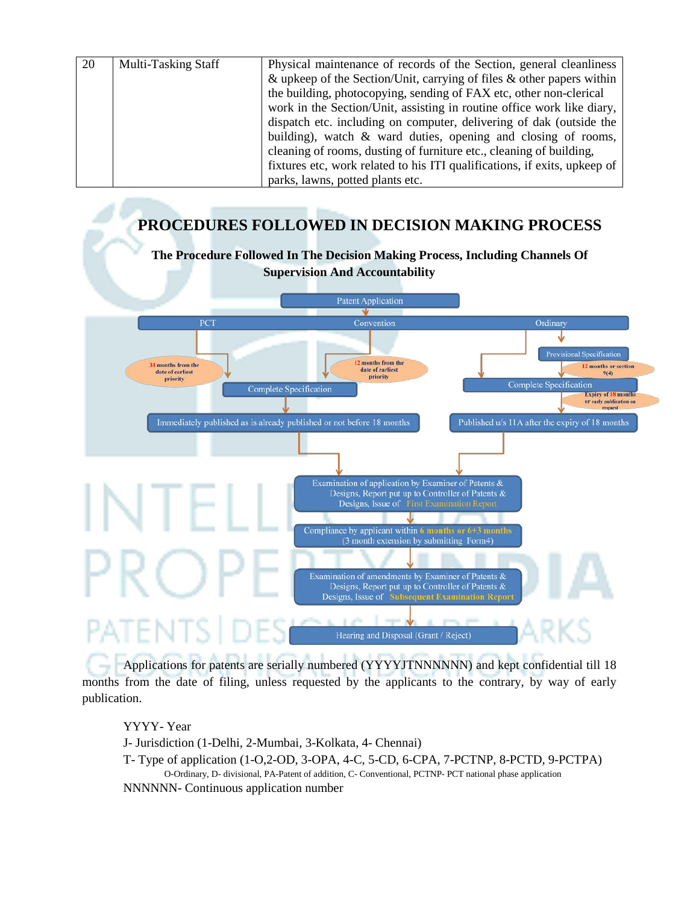| 20 | <b>Multi-Tasking Staff</b> | Physical maintenance of records of the Section, general cleanliness       |
|----|----------------------------|---------------------------------------------------------------------------|
|    |                            | & upkeep of the Section/Unit, carrying of files $\&$ other papers within  |
|    |                            | the building, photocopying, sending of FAX etc, other non-clerical        |
|    |                            | work in the Section/Unit, assisting in routine office work like diary,    |
|    |                            | dispatch etc. including on computer, delivering of dak (outside the       |
|    |                            | building), watch & ward duties, opening and closing of rooms,             |
|    |                            | cleaning of rooms, dusting of furniture etc., cleaning of building,       |
|    |                            | fixtures etc, work related to his ITI qualifications, if exits, upkeep of |
|    |                            | parks, lawns, potted plants etc.                                          |

# **PROCEDURES FOLLOWED IN DECISION MAKING PROCESS**



Applications for patents are serially numbered (YYYYJTNNNNNN) and kept confidential till 18 months from the date of filing, unless requested by the applicants to the contrary, by way of early publication.

### YYYY- Year

J- Jurisdiction (1-Delhi, 2-Mumbai, 3-Kolkata, 4- Chennai)

T- Type of application (1-O,2-OD, 3-OPA, 4-C, 5-CD, 6-CPA, 7-PCTNP, 8-PCTD, 9-PCTPA) O-Ordinary, D- divisional, PA-Patent of addition, C- Conventional, PCTNP- PCT national phase application

NNNNNN- Continuous application number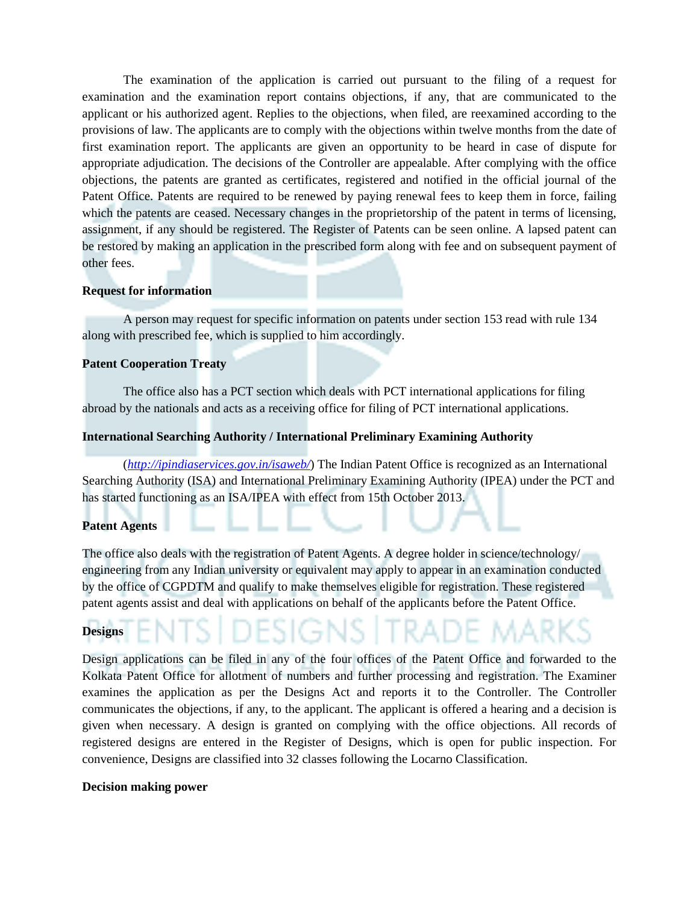The examination of the application is carried out pursuant to the filing of a request for examination and the examination report contains objections, if any, that are communicated to the applicant or his authorized agent. Replies to the objections, when filed, are reexamined according to the provisions of law. The applicants are to comply with the objections within twelve months from the date of first examination report. The applicants are given an opportunity to be heard in case of dispute for appropriate adjudication. The decisions of the Controller are appealable. After complying with the office objections, the patents are granted as certificates, registered and notified in the official journal of the Patent Office. Patents are required to be renewed by paying renewal fees to keep them in force, failing which the patents are ceased. Necessary changes in the proprietorship of the patent in terms of licensing, assignment, if any should be registered. The Register of Patents can be seen online. A lapsed patent can be restored by making an application in the prescribed form along with fee and on subsequent payment of other fees.

#### **Request for information**

A person may request for specific information on patents under section 153 read with rule 134 along with prescribed fee, which is supplied to him accordingly.

#### **Patent Cooperation Treaty**

The office also has a PCT section which deals with PCT international applications for filing abroad by the nationals and acts as a receiving office for filing of PCT international applications.

#### **International Searching Authority / International Preliminary Examining Authority**

(*<http://ipindiaservices.gov.in/isaweb/>*) The Indian Patent Office is recognized as an International Searching Authority (ISA) and International Preliminary Examining Authority (IPEA) under the PCT and has started functioning as an ISA/IPEA with effect from 15th October 2013.

#### **Patent Agents**

The office also deals with the registration of Patent Agents. A degree holder in science/technology/ engineering from any Indian university or equivalent may apply to appear in an examination conducted by the office of CGPDTM and qualify to make themselves eligible for registration. These registered patent agents assist and deal with applications on behalf of the applicants before the Patent Office.

#### **Designs**

Design applications can be filed in any of the four offices of the Patent Office and forwarded to the Kolkata Patent Office for allotment of numbers and further processing and registration. The Examiner examines the application as per the Designs Act and reports it to the Controller. The Controller communicates the objections, if any, to the applicant. The applicant is offered a hearing and a decision is given when necessary. A design is granted on complying with the office objections. All records of registered designs are entered in the Register of Designs, which is open for public inspection. For convenience, Designs are classified into 32 classes following the Locarno Classification.

#### **Decision making power**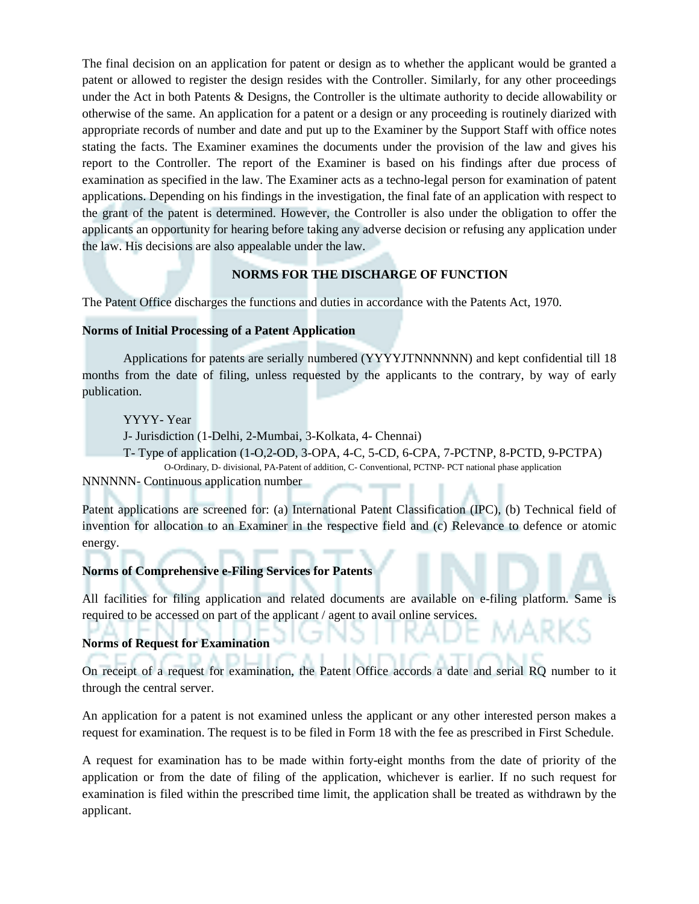The final decision on an application for patent or design as to whether the applicant would be granted a patent or allowed to register the design resides with the Controller. Similarly, for any other proceedings under the Act in both Patents & Designs, the Controller is the ultimate authority to decide allowability or otherwise of the same. An application for a patent or a design or any proceeding is routinely diarized with appropriate records of number and date and put up to the Examiner by the Support Staff with office notes stating the facts. The Examiner examines the documents under the provision of the law and gives his report to the Controller. The report of the Examiner is based on his findings after due process of examination as specified in the law. The Examiner acts as a techno-legal person for examination of patent applications. Depending on his findings in the investigation, the final fate of an application with respect to the grant of the patent is determined. However, the Controller is also under the obligation to offer the applicants an opportunity for hearing before taking any adverse decision or refusing any application under the law. His decisions are also appealable under the law.

#### **NORMS FOR THE DISCHARGE OF FUNCTION**

The Patent Office discharges the functions and duties in accordance with the Patents Act, 1970.

#### **Norms of Initial Processing of a Patent Application**

Applications for patents are serially numbered (YYYYJTNNNNNN) and kept confidential till 18 months from the date of filing, unless requested by the applicants to the contrary, by way of early publication.

YYYY- Year

J- Jurisdiction (1-Delhi, 2-Mumbai, 3-Kolkata, 4- Chennai)

T- Type of application (1-O,2-OD, 3-OPA, 4-C, 5-CD, 6-CPA, 7-PCTNP, 8-PCTD, 9-PCTPA) O-Ordinary, D- divisional, PA-Patent of addition, C- Conventional, PCTNP- PCT national phase application NNNNNN- Continuous application number

Patent applications are screened for: (a) International Patent Classification (IPC), (b) Technical field of invention for allocation to an Examiner in the respective field and (c) Relevance to defence or atomic energy.

#### **Norms of Comprehensive e-Filing Services for Patents**

All facilities for filing application and related documents are available on e-filing platform. Same is required to be accessed on part of the applicant / agent to avail online services.

### **Norms of Request for Examination**

On receipt of a request for examination, the Patent Office accords a date and serial RQ number to it through the central server.

An application for a patent is not examined unless the applicant or any other interested person makes a request for examination. The request is to be filed in Form 18 with the fee as prescribed in First Schedule.

A request for examination has to be made within forty-eight months from the date of priority of the application or from the date of filing of the application, whichever is earlier. If no such request for examination is filed within the prescribed time limit, the application shall be treated as withdrawn by the applicant.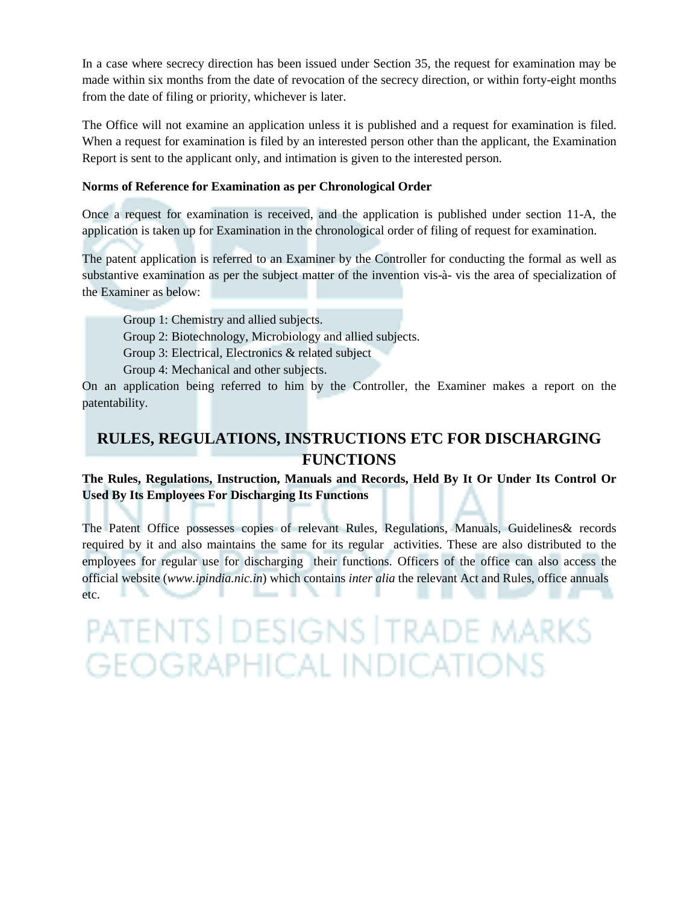In a case where secrecy direction has been issued under Section 35, the request for examination may be made within six months from the date of revocation of the secrecy direction, or within forty-eight months from the date of filing or priority, whichever is later.

The Office will not examine an application unless it is published and a request for examination is filed. When a request for examination is filed by an interested person other than the applicant, the Examination Report is sent to the applicant only, and intimation is given to the interested person.

#### **Norms of Reference for Examination as per Chronological Order**

Once a request for examination is received, and the application is published under section 11-A, the application is taken up for Examination in the chronological order of filing of request for examination.

The patent application is referred to an Examiner by the Controller for conducting the formal as well as substantive examination as per the subject matter of the invention vis-à- vis the area of specialization of the Examiner as below:

Group 1: Chemistry and allied subjects.

Group 2: Biotechnology, Microbiology and allied subjects.

Group 3: Electrical, Electronics & related subject

Group 4: Mechanical and other subjects.

On an application being referred to him by the Controller, the Examiner makes a report on the patentability.

# **RULES, REGULATIONS, INSTRUCTIONS ETC FOR DISCHARGING FUNCTIONS**

### **The Rules, Regulations, Instruction, Manuals and Records, Held By It Or Under Its Control Or Used By Its Employees For Discharging Its Functions**

The Patent Office possesses copies of relevant Rules, Regulations, Manuals, Guidelines& records required by it and also maintains the same for its regular activities. These are also distributed to the employees for regular use for discharging their functions. Officers of the office can also access the official website (*www.ipindia.nic.in*) which contains *inter alia* the relevant Act and Rules, office annuals etc.

PATENTS | DESIGNS | TRADE MARKS **GEOGRAPHICAL INDICATIONS**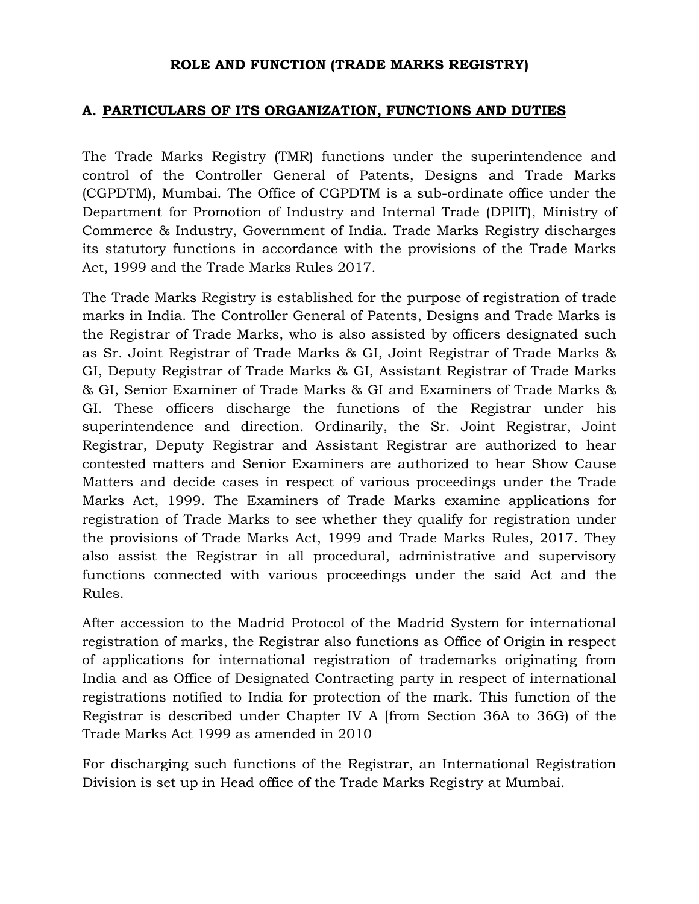### **ROLE AND FUNCTION (TRADE MARKS REGISTRY)**

### **A. PARTICULARS OF ITS ORGANIZATION, FUNCTIONS AND DUTIES**

The Trade Marks Registry (TMR) functions under the superintendence and control of the Controller General of Patents, Designs and Trade Marks (CGPDTM), Mumbai. The Office of CGPDTM is a sub-ordinate office under the Department for Promotion of Industry and Internal Trade (DPIIT), Ministry of Commerce & Industry, Government of India. Trade Marks Registry discharges its statutory functions in accordance with the provisions of the Trade Marks Act, 1999 and the Trade Marks Rules 2017.

The Trade Marks Registry is established for the purpose of registration of trade marks in India. The Controller General of Patents, Designs and Trade Marks is the Registrar of Trade Marks, who is also assisted by officers designated such as Sr. Joint Registrar of Trade Marks & GI, Joint Registrar of Trade Marks & GI, Deputy Registrar of Trade Marks & GI, Assistant Registrar of Trade Marks & GI, Senior Examiner of Trade Marks & GI and Examiners of Trade Marks & GI. These officers discharge the functions of the Registrar under his superintendence and direction. Ordinarily, the Sr. Joint Registrar, Joint Registrar, Deputy Registrar and Assistant Registrar are authorized to hear contested matters and Senior Examiners are authorized to hear Show Cause Matters and decide cases in respect of various proceedings under the Trade Marks Act, 1999. The Examiners of Trade Marks examine applications for registration of Trade Marks to see whether they qualify for registration under the provisions of Trade Marks Act, 1999 and Trade Marks Rules, 2017. They also assist the Registrar in all procedural, administrative and supervisory functions connected with various proceedings under the said Act and the Rules.

After accession to the Madrid Protocol of the Madrid System for international registration of marks, the Registrar also functions as Office of Origin in respect of applications for international registration of trademarks originating from India and as Office of Designated Contracting party in respect of international registrations notified to India for protection of the mark. This function of the Registrar is described under Chapter IV A [from Section 36A to 36G) of the Trade Marks Act 1999 as amended in 2010

For discharging such functions of the Registrar, an International Registration Division is set up in Head office of the Trade Marks Registry at Mumbai.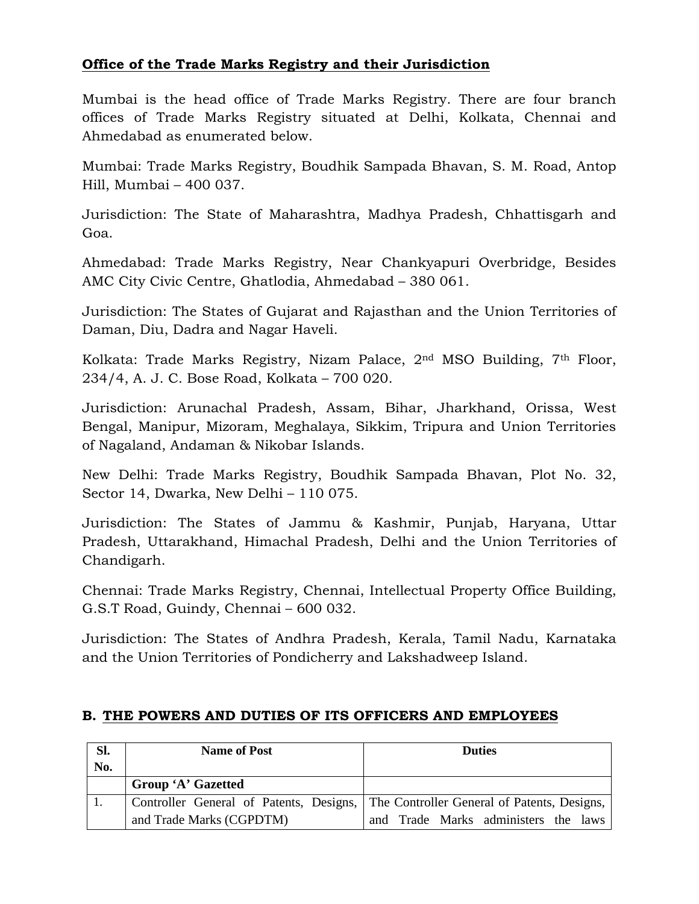## **Office of the Trade Marks Registry and their Jurisdiction**

Mumbai is the head office of Trade Marks Registry. There are four branch offices of Trade Marks Registry situated at Delhi, Kolkata, Chennai and Ahmedabad as enumerated below.

Mumbai: Trade Marks Registry, Boudhik Sampada Bhavan, S. M. Road, Antop Hill, Mumbai – 400 037.

Jurisdiction: The State of Maharashtra, Madhya Pradesh, Chhattisgarh and Goa.

Ahmedabad: Trade Marks Registry, Near Chankyapuri Overbridge, Besides AMC City Civic Centre, Ghatlodia, Ahmedabad – 380 061.

Jurisdiction: The States of Gujarat and Rajasthan and the Union Territories of Daman, Diu, Dadra and Nagar Haveli.

Kolkata: Trade Marks Registry, Nizam Palace, 2nd MSO Building, 7th Floor, 234/4, A. J. C. Bose Road, Kolkata – 700 020.

Jurisdiction: Arunachal Pradesh, Assam, Bihar, Jharkhand, Orissa, West Bengal, Manipur, Mizoram, Meghalaya, Sikkim, Tripura and Union Territories of Nagaland, Andaman & Nikobar Islands.

New Delhi: Trade Marks Registry, Boudhik Sampada Bhavan, Plot No. 32, Sector 14, Dwarka, New Delhi – 110 075.

Jurisdiction: The States of Jammu & Kashmir, Punjab, Haryana, Uttar Pradesh, Uttarakhand, Himachal Pradesh, Delhi and the Union Territories of Chandigarh.

Chennai: Trade Marks Registry, Chennai, Intellectual Property Office Building, G.S.T Road, Guindy, Chennai – 600 032.

Jurisdiction: The States of Andhra Pradesh, Kerala, Tamil Nadu, Karnataka and the Union Territories of Pondicherry and Lakshadweep Island.

| Sl. | <b>Name of Post</b>       | <b>Duties</b>                                                                       |
|-----|---------------------------|-------------------------------------------------------------------------------------|
| No. |                           |                                                                                     |
|     | <b>Group 'A' Gazetted</b> |                                                                                     |
|     |                           | Controller General of Patents, Designs, The Controller General of Patents, Designs, |
|     | and Trade Marks (CGPDTM)  | and Trade Marks administers the laws                                                |

## **B. THE POWERS AND DUTIES OF ITS OFFICERS AND EMPLOYEES**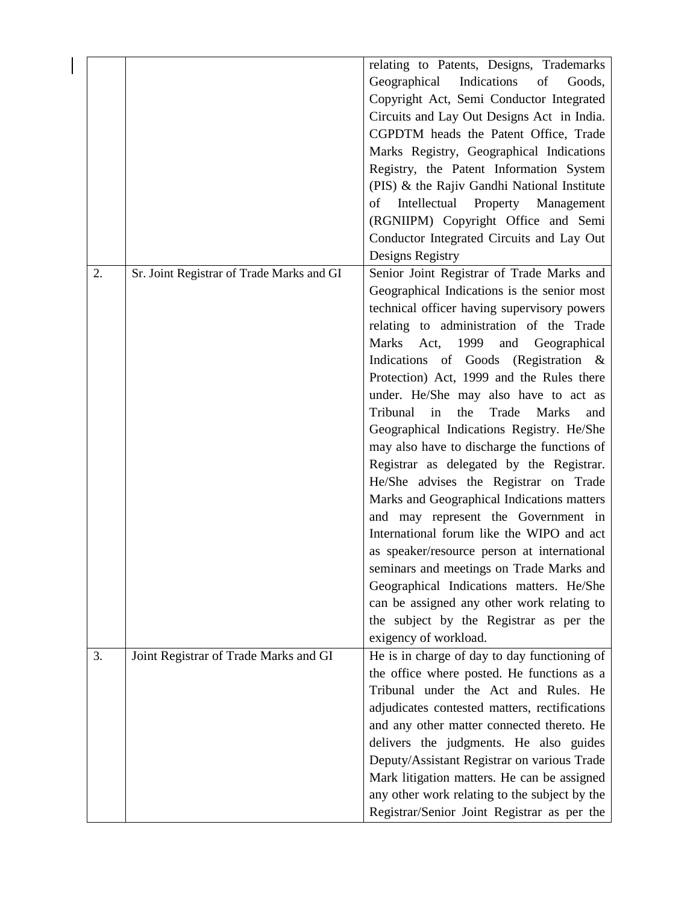|    |                                           | relating to Patents, Designs, Trademarks              |
|----|-------------------------------------------|-------------------------------------------------------|
|    |                                           | Geographical<br>Indications<br>of<br>Goods,           |
|    |                                           | Copyright Act, Semi Conductor Integrated              |
|    |                                           | Circuits and Lay Out Designs Act in India.            |
|    |                                           | CGPDTM heads the Patent Office, Trade                 |
|    |                                           |                                                       |
|    |                                           | Marks Registry, Geographical Indications              |
|    |                                           | Registry, the Patent Information System               |
|    |                                           | (PIS) & the Rajiv Gandhi National Institute           |
|    |                                           | Intellectual Property Management<br>of                |
|    |                                           | (RGNIIPM) Copyright Office and Semi                   |
|    |                                           | Conductor Integrated Circuits and Lay Out             |
|    |                                           | Designs Registry                                      |
| 2. | Sr. Joint Registrar of Trade Marks and GI | Senior Joint Registrar of Trade Marks and             |
|    |                                           | Geographical Indications is the senior most           |
|    |                                           | technical officer having supervisory powers           |
|    |                                           | relating to administration of the Trade               |
|    |                                           | Marks Act, 1999<br>and<br>Geographical                |
|    |                                           | Indications of Goods (Registration &                  |
|    |                                           | Protection) Act, 1999 and the Rules there             |
|    |                                           | under. He/She may also have to act as                 |
|    |                                           | Tribunal<br>in<br>the<br>Trade<br><b>Marks</b><br>and |
|    |                                           | Geographical Indications Registry. He/She             |
|    |                                           | may also have to discharge the functions of           |
|    |                                           | Registrar as delegated by the Registrar.              |
|    |                                           |                                                       |
|    |                                           | He/She advises the Registrar on Trade                 |
|    |                                           | Marks and Geographical Indications matters            |
|    |                                           | and may represent the Government in                   |
|    |                                           | International forum like the WIPO and act             |
|    |                                           | as speaker/resource person at international           |
|    |                                           | seminars and meetings on Trade Marks and              |
|    |                                           | Geographical Indications matters. He/She              |
|    |                                           | can be assigned any other work relating to            |
|    |                                           | the subject by the Registrar as per the               |
|    |                                           | exigency of workload.                                 |
| 3. | Joint Registrar of Trade Marks and GI     | He is in charge of day to day functioning of          |
|    |                                           | the office where posted. He functions as a            |
|    |                                           | Tribunal under the Act and Rules. He                  |
|    |                                           | adjudicates contested matters, rectifications         |
|    |                                           | and any other matter connected thereto. He            |
|    |                                           | delivers the judgments. He also guides                |
|    |                                           | Deputy/Assistant Registrar on various Trade           |
|    |                                           | Mark litigation matters. He can be assigned           |
|    |                                           | any other work relating to the subject by the         |
|    |                                           | Registrar/Senior Joint Registrar as per the           |
|    |                                           |                                                       |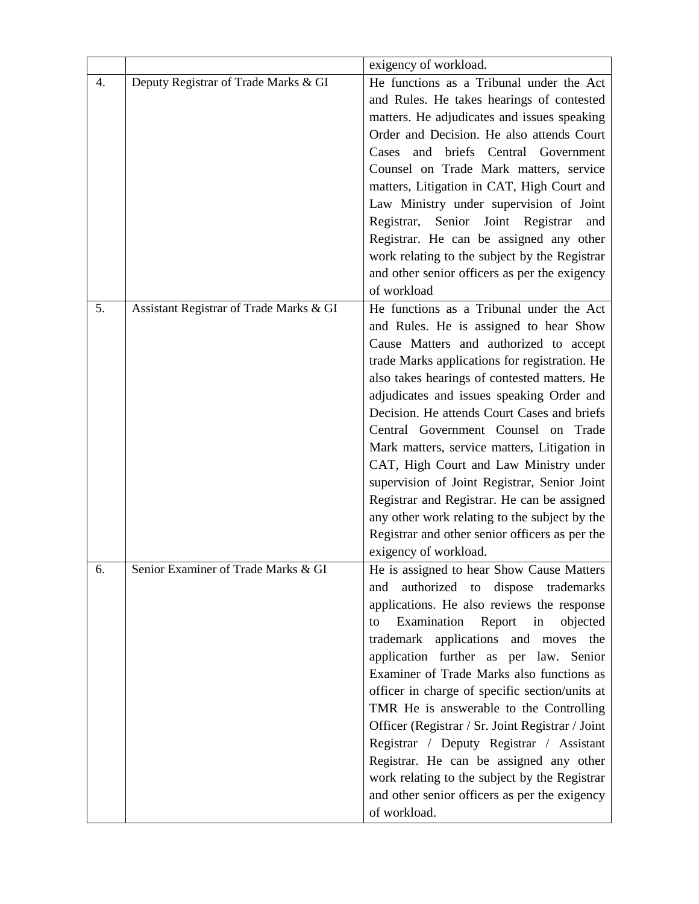|    |                                         | exigency of workload.                            |
|----|-----------------------------------------|--------------------------------------------------|
| 4. | Deputy Registrar of Trade Marks & GI    | He functions as a Tribunal under the Act         |
|    |                                         | and Rules. He takes hearings of contested        |
|    |                                         | matters. He adjudicates and issues speaking      |
|    |                                         | Order and Decision. He also attends Court        |
|    |                                         | briefs<br>Central<br>Government<br>Cases<br>and  |
|    |                                         | Counsel on Trade Mark matters, service           |
|    |                                         | matters, Litigation in CAT, High Court and       |
|    |                                         | Law Ministry under supervision of Joint          |
|    |                                         | Senior Joint Registrar<br>Registrar,<br>and      |
|    |                                         | Registrar. He can be assigned any other          |
|    |                                         | work relating to the subject by the Registrar    |
|    |                                         | and other senior officers as per the exigency    |
|    |                                         | of workload                                      |
| 5. | Assistant Registrar of Trade Marks & GI | He functions as a Tribunal under the Act         |
|    |                                         | and Rules. He is assigned to hear Show           |
|    |                                         | Cause Matters and authorized to accept           |
|    |                                         | trade Marks applications for registration. He    |
|    |                                         | also takes hearings of contested matters. He     |
|    |                                         | adjudicates and issues speaking Order and        |
|    |                                         | Decision. He attends Court Cases and briefs      |
|    |                                         | Central Government Counsel on Trade              |
|    |                                         | Mark matters, service matters, Litigation in     |
|    |                                         | CAT, High Court and Law Ministry under           |
|    |                                         | supervision of Joint Registrar, Senior Joint     |
|    |                                         | Registrar and Registrar. He can be assigned      |
|    |                                         | any other work relating to the subject by the    |
|    |                                         | Registrar and other senior officers as per the   |
|    |                                         | exigency of workload.                            |
| 6. | Senior Examiner of Trade Marks & GI     | He is assigned to hear Show Cause Matters        |
|    |                                         | authorized to dispose trademarks<br>and          |
|    |                                         | applications. He also reviews the response       |
|    |                                         | Examination Report in<br>objected<br>to          |
|    |                                         | trademark applications and moves the             |
|    |                                         | application further as per law. Senior           |
|    |                                         | Examiner of Trade Marks also functions as        |
|    |                                         | officer in charge of specific section/units at   |
|    |                                         | TMR He is answerable to the Controlling          |
|    |                                         | Officer (Registrar / Sr. Joint Registrar / Joint |
|    |                                         | Registrar / Deputy Registrar / Assistant         |
|    |                                         | Registrar. He can be assigned any other          |
|    |                                         | work relating to the subject by the Registrar    |
|    |                                         | and other senior officers as per the exigency    |
|    |                                         | of workload.                                     |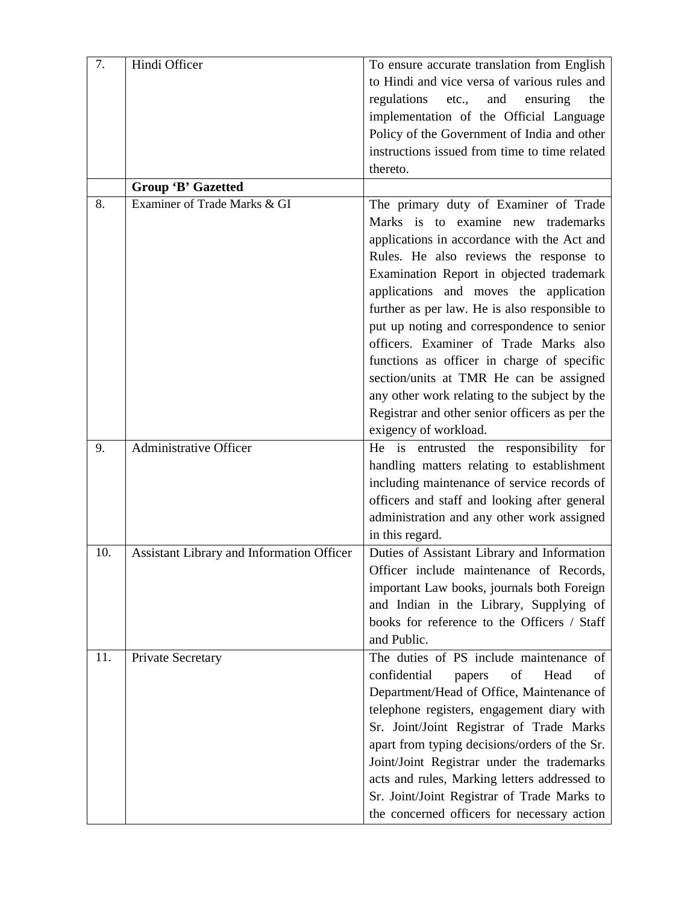| 7.  | Hindi Officer                             | To ensure accurate translation from English    |
|-----|-------------------------------------------|------------------------------------------------|
|     |                                           | to Hindi and vice versa of various rules and   |
|     |                                           | regulations<br>etc.,<br>and<br>ensuring<br>the |
|     |                                           | implementation of the Official Language        |
|     |                                           | Policy of the Government of India and other    |
|     |                                           | instructions issued from time to time related  |
|     |                                           | thereto.                                       |
|     | Group 'B' Gazetted                        |                                                |
| 8.  | Examiner of Trade Marks & GI              | The primary duty of Examiner of Trade          |
|     |                                           | Marks is to examine new trademarks             |
|     |                                           | applications in accordance with the Act and    |
|     |                                           | Rules. He also reviews the response to         |
|     |                                           | Examination Report in objected trademark       |
|     |                                           | applications and moves the application         |
|     |                                           | further as per law. He is also responsible to  |
|     |                                           | put up noting and correspondence to senior     |
|     |                                           | officers. Examiner of Trade Marks also         |
|     |                                           | functions as officer in charge of specific     |
|     |                                           | section/units at TMR He can be assigned        |
|     |                                           | any other work relating to the subject by the  |
|     |                                           | Registrar and other senior officers as per the |
|     |                                           | exigency of workload.                          |
| 9.  | <b>Administrative Officer</b>             | He is entrusted the responsibility for         |
|     |                                           | handling matters relating to establishment     |
|     |                                           | including maintenance of service records of    |
|     |                                           | officers and staff and looking after general   |
|     |                                           | administration and any other work assigned     |
|     |                                           | in this regard.                                |
| 10. | Assistant Library and Information Officer | Duties of Assistant Library and Information    |
|     |                                           | Officer include maintenance of Records,        |
|     |                                           | important Law books, journals both Foreign     |
|     |                                           | and Indian in the Library, Supplying of        |
|     |                                           | books for reference to the Officers / Staff    |
|     |                                           | and Public.                                    |
| 11. | Private Secretary                         | The duties of PS include maintenance of        |
|     |                                           | confidential<br>of<br>Head<br>papers<br>οf     |
|     |                                           | Department/Head of Office, Maintenance of      |
|     |                                           | telephone registers, engagement diary with     |
|     |                                           | Sr. Joint/Joint Registrar of Trade Marks       |
|     |                                           | apart from typing decisions/orders of the Sr.  |
|     |                                           | Joint/Joint Registrar under the trademarks     |
|     |                                           | acts and rules, Marking letters addressed to   |
|     |                                           | Sr. Joint/Joint Registrar of Trade Marks to    |
|     |                                           | the concerned officers for necessary action    |
|     |                                           |                                                |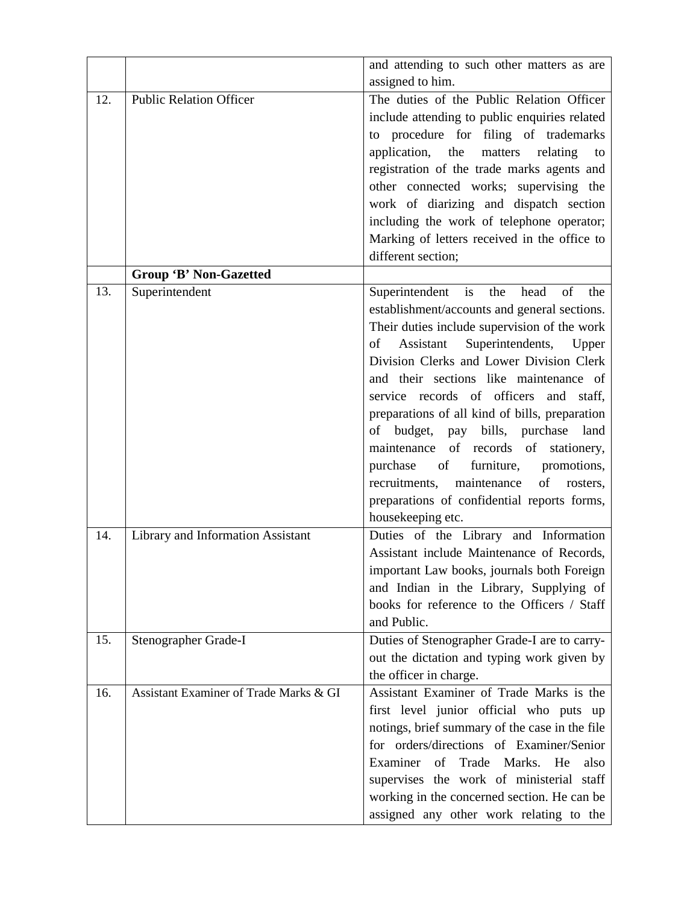|     |                                        | and attending to such other matters as are            |
|-----|----------------------------------------|-------------------------------------------------------|
|     |                                        | assigned to him.                                      |
| 12. | <b>Public Relation Officer</b>         | The duties of the Public Relation Officer             |
|     |                                        | include attending to public enquiries related         |
|     |                                        | to procedure for filing of trademarks                 |
|     |                                        | application,<br>the<br>matters relating<br>to         |
|     |                                        | registration of the trade marks agents and            |
|     |                                        | other connected works; supervising the                |
|     |                                        | work of diarizing and dispatch section                |
|     |                                        | including the work of telephone operator;             |
|     |                                        | Marking of letters received in the office to          |
|     |                                        | different section;                                    |
|     | <b>Group 'B' Non-Gazetted</b>          |                                                       |
| 13. | Superintendent                         | Superintendent is the<br>head<br>of<br>the            |
|     |                                        | establishment/accounts and general sections.          |
|     |                                        | Their duties include supervision of the work          |
|     |                                        | Superintendents,<br>Assistant<br>of<br>Upper          |
|     |                                        | Division Clerks and Lower Division Clerk              |
|     |                                        | and their sections like maintenance of                |
|     |                                        | service records of officers and staff,                |
|     |                                        | preparations of all kind of bills, preparation        |
|     |                                        | of budget, pay bills, purchase<br>land                |
|     |                                        | maintenance of records of stationery,                 |
|     |                                        | purchase<br>of<br>furniture, promotions,              |
|     |                                        | recruitments,<br>maintenance<br>of<br>rosters,        |
|     |                                        | preparations of confidential reports forms,           |
|     |                                        | housekeeping etc.                                     |
| 14. | Library and Information Assistant      | Duties of the Library and Information                 |
|     |                                        | Assistant include Maintenance of Records,             |
|     |                                        | important Law books, journals both Foreign            |
|     |                                        | and Indian in the Library, Supplying of               |
|     |                                        | books for reference to the Officers / Staff           |
|     |                                        | and Public.                                           |
| 15. | Stenographer Grade-I                   | Duties of Stenographer Grade-I are to carry-          |
|     |                                        | out the dictation and typing work given by            |
|     |                                        | the officer in charge.                                |
| 16. | Assistant Examiner of Trade Marks & GI | Assistant Examiner of Trade Marks is the              |
|     |                                        | first level junior official who puts up               |
|     |                                        | notings, brief summary of the case in the file        |
|     |                                        | for orders/directions of Examiner/Senior              |
|     |                                        | Examiner<br>$\sigma$<br>Trade<br>Marks.<br>He<br>also |
|     |                                        | supervises the work of ministerial staff              |
|     |                                        | working in the concerned section. He can be           |
|     |                                        |                                                       |
|     |                                        | assigned any other work relating to the               |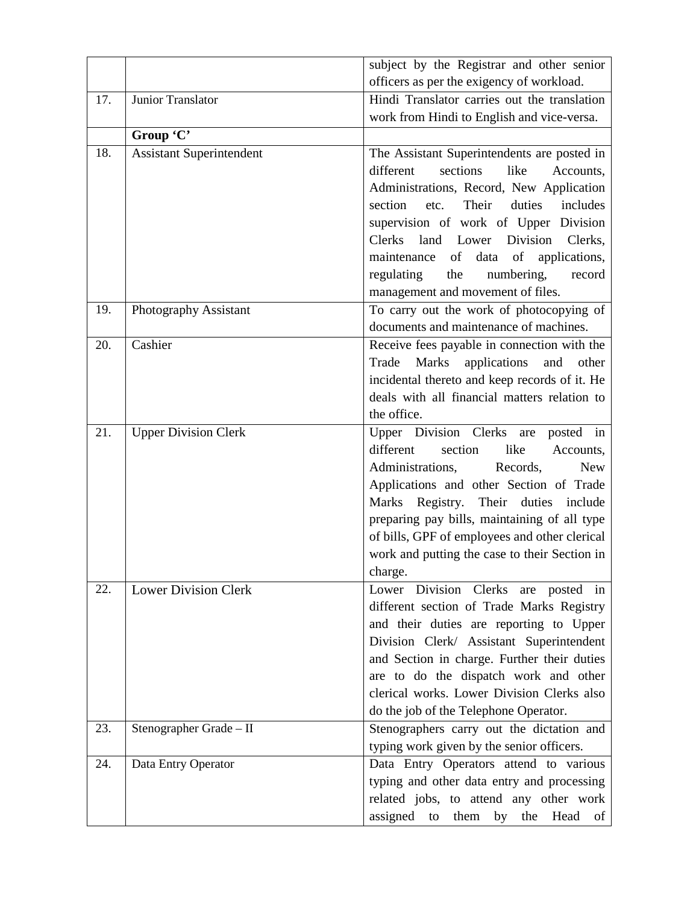|     |                                 | subject by the Registrar and other senior                                                                                                                                                                                                                                                                                                                                         |
|-----|---------------------------------|-----------------------------------------------------------------------------------------------------------------------------------------------------------------------------------------------------------------------------------------------------------------------------------------------------------------------------------------------------------------------------------|
|     |                                 | officers as per the exigency of workload.                                                                                                                                                                                                                                                                                                                                         |
| 17. | Junior Translator               | Hindi Translator carries out the translation                                                                                                                                                                                                                                                                                                                                      |
|     |                                 | work from Hindi to English and vice-versa.                                                                                                                                                                                                                                                                                                                                        |
|     | Group 'C'                       |                                                                                                                                                                                                                                                                                                                                                                                   |
| 18. | <b>Assistant Superintendent</b> | The Assistant Superintendents are posted in<br>different<br>sections<br>like<br>Accounts,                                                                                                                                                                                                                                                                                         |
|     |                                 | Administrations, Record, New Application<br>Their<br>duties<br>section<br>etc.<br>includes                                                                                                                                                                                                                                                                                        |
|     |                                 | supervision of work of Upper Division<br>Clerks land Lower Division<br>Clerks,                                                                                                                                                                                                                                                                                                    |
|     |                                 | data of applications,<br>of<br>maintenance<br>regulating<br>the<br>numbering,<br>record<br>management and movement of files.                                                                                                                                                                                                                                                      |
| 19. | Photography Assistant           | To carry out the work of photocopying of<br>documents and maintenance of machines.                                                                                                                                                                                                                                                                                                |
| 20. | Cashier                         | Receive fees payable in connection with the<br>Marks applications and<br>Trade<br>other<br>incidental thereto and keep records of it. He<br>deals with all financial matters relation to<br>the office.                                                                                                                                                                           |
| 21. | <b>Upper Division Clerk</b>     | Upper Division Clerks are<br>posted in<br>different<br>section<br>like<br>Accounts,<br>Administrations,<br>Records,<br><b>New</b><br>Applications and other Section of Trade<br>Marks Registry. Their duties include<br>preparing pay bills, maintaining of all type<br>of bills, GPF of employees and other clerical<br>work and putting the case to their Section in<br>charge. |
| 22. | <b>Lower Division Clerk</b>     | Lower Division Clerks are posted in<br>different section of Trade Marks Registry<br>and their duties are reporting to Upper<br>Division Clerk/ Assistant Superintendent<br>and Section in charge. Further their duties<br>are to do the dispatch work and other<br>clerical works. Lower Division Clerks also<br>do the job of the Telephone Operator.                            |
| 23. | Stenographer Grade - II         | Stenographers carry out the dictation and<br>typing work given by the senior officers.                                                                                                                                                                                                                                                                                            |
| 24. | Data Entry Operator             | Data Entry Operators attend to various<br>typing and other data entry and processing<br>related jobs, to attend any other work<br>assigned<br>them<br>by<br>the<br>Head<br>to<br>of                                                                                                                                                                                               |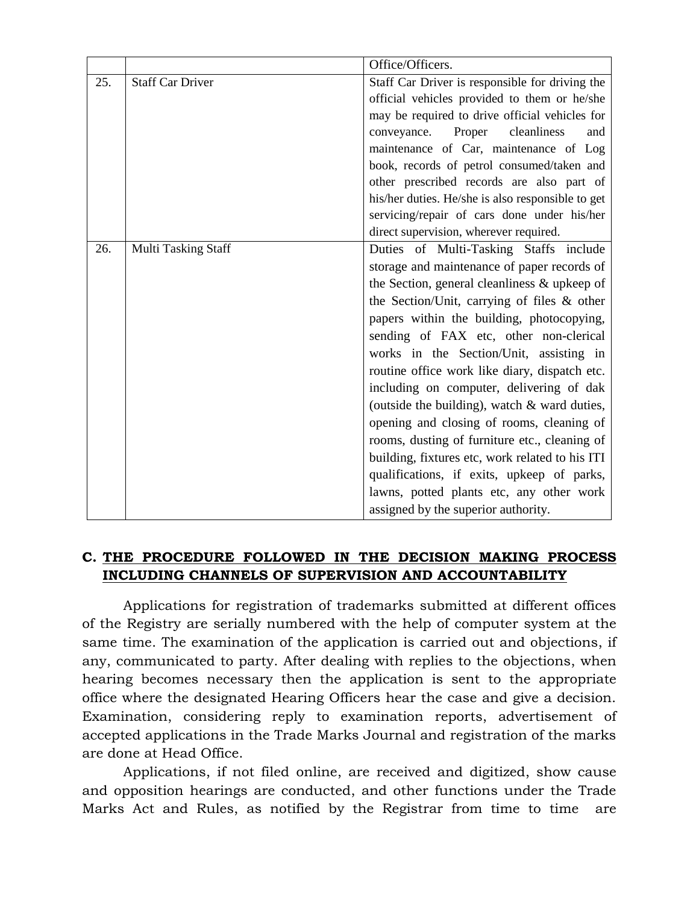|     |                         | Office/Officers.                                  |
|-----|-------------------------|---------------------------------------------------|
| 25. | <b>Staff Car Driver</b> | Staff Car Driver is responsible for driving the   |
|     |                         | official vehicles provided to them or he/she      |
|     |                         | may be required to drive official vehicles for    |
|     |                         | Proper<br>cleanliness<br>conveyance.<br>and       |
|     |                         | maintenance of Car, maintenance of Log            |
|     |                         | book, records of petrol consumed/taken and        |
|     |                         | other prescribed records are also part of         |
|     |                         | his/her duties. He/she is also responsible to get |
|     |                         | servicing/repair of cars done under his/her       |
|     |                         | direct supervision, wherever required.            |
| 26. | Multi Tasking Staff     | Duties of Multi-Tasking Staffs include            |
|     |                         | storage and maintenance of paper records of       |
|     |                         | the Section, general cleanliness & upkeep of      |
|     |                         | the Section/Unit, carrying of files & other       |
|     |                         | papers within the building, photocopying,         |
|     |                         | sending of FAX etc, other non-clerical            |
|     |                         | works in the Section/Unit, assisting in           |
|     |                         | routine office work like diary, dispatch etc.     |
|     |                         | including on computer, delivering of dak          |
|     |                         | (outside the building), watch & ward duties,      |
|     |                         | opening and closing of rooms, cleaning of         |
|     |                         | rooms, dusting of furniture etc., cleaning of     |
|     |                         | building, fixtures etc, work related to his ITI   |
|     |                         | qualifications, if exits, upkeep of parks,        |
|     |                         | lawns, potted plants etc, any other work          |
|     |                         | assigned by the superior authority.               |

## **C. THE PROCEDURE FOLLOWED IN THE DECISION MAKING PROCESS INCLUDING CHANNELS OF SUPERVISION AND ACCOUNTABILITY**

Applications for registration of trademarks submitted at different offices of the Registry are serially numbered with the help of computer system at the same time. The examination of the application is carried out and objections, if any, communicated to party. After dealing with replies to the objections, when hearing becomes necessary then the application is sent to the appropriate office where the designated Hearing Officers hear the case and give a decision. Examination, considering reply to examination reports, advertisement of accepted applications in the Trade Marks Journal and registration of the marks are done at Head Office.

Applications, if not filed online, are received and digitized, show cause and opposition hearings are conducted, and other functions under the Trade Marks Act and Rules, as notified by the Registrar from time to time are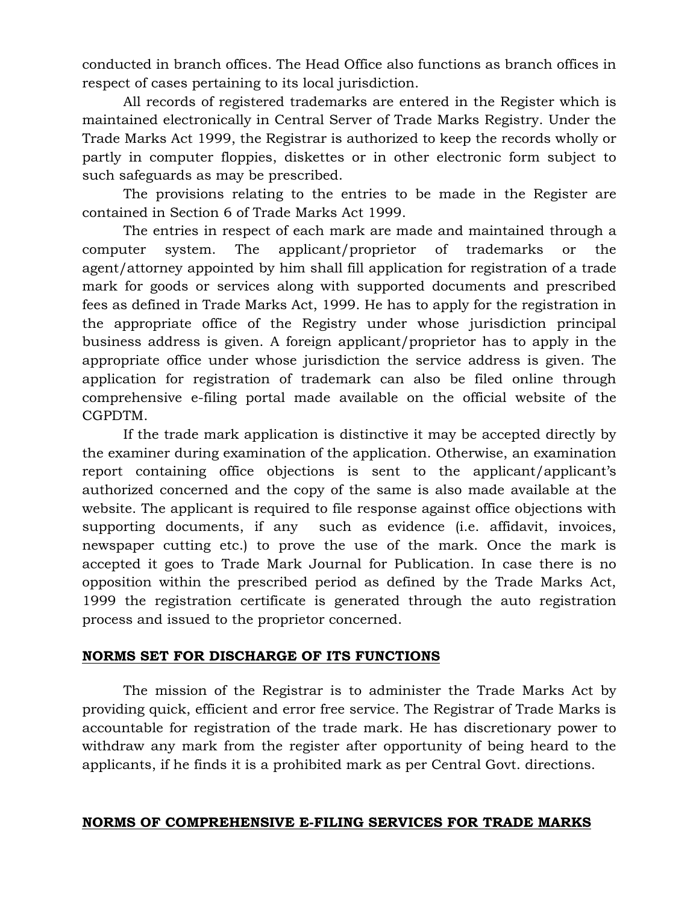conducted in branch offices. The Head Office also functions as branch offices in respect of cases pertaining to its local jurisdiction.

All records of registered trademarks are entered in the Register which is maintained electronically in Central Server of Trade Marks Registry. Under the Trade Marks Act 1999, the Registrar is authorized to keep the records wholly or partly in computer floppies, diskettes or in other electronic form subject to such safeguards as may be prescribed.

The provisions relating to the entries to be made in the Register are contained in Section 6 of Trade Marks Act 1999.

The entries in respect of each mark are made and maintained through a computer system. The applicant/proprietor of trademarks or the agent/attorney appointed by him shall fill application for registration of a trade mark for goods or services along with supported documents and prescribed fees as defined in Trade Marks Act, 1999. He has to apply for the registration in the appropriate office of the Registry under whose jurisdiction principal business address is given. A foreign applicant/proprietor has to apply in the appropriate office under whose jurisdiction the service address is given. The application for registration of trademark can also be filed online through comprehensive e-filing portal made available on the official website of the CGPDTM.

If the trade mark application is distinctive it may be accepted directly by the examiner during examination of the application. Otherwise, an examination report containing office objections is sent to the applicant/applicant's authorized concerned and the copy of the same is also made available at the website. The applicant is required to file response against office objections with supporting documents, if any such as evidence (i.e. affidavit, invoices, newspaper cutting etc.) to prove the use of the mark. Once the mark is accepted it goes to Trade Mark Journal for Publication. In case there is no opposition within the prescribed period as defined by the Trade Marks Act, 1999 the registration certificate is generated through the auto registration process and issued to the proprietor concerned.

## **NORMS SET FOR DISCHARGE OF ITS FUNCTIONS**

The mission of the Registrar is to administer the Trade Marks Act by providing quick, efficient and error free service. The Registrar of Trade Marks is accountable for registration of the trade mark. He has discretionary power to withdraw any mark from the register after opportunity of being heard to the applicants, if he finds it is a prohibited mark as per Central Govt. directions.

### **NORMS OF COMPREHENSIVE E-FILING SERVICES FOR TRADE MARKS**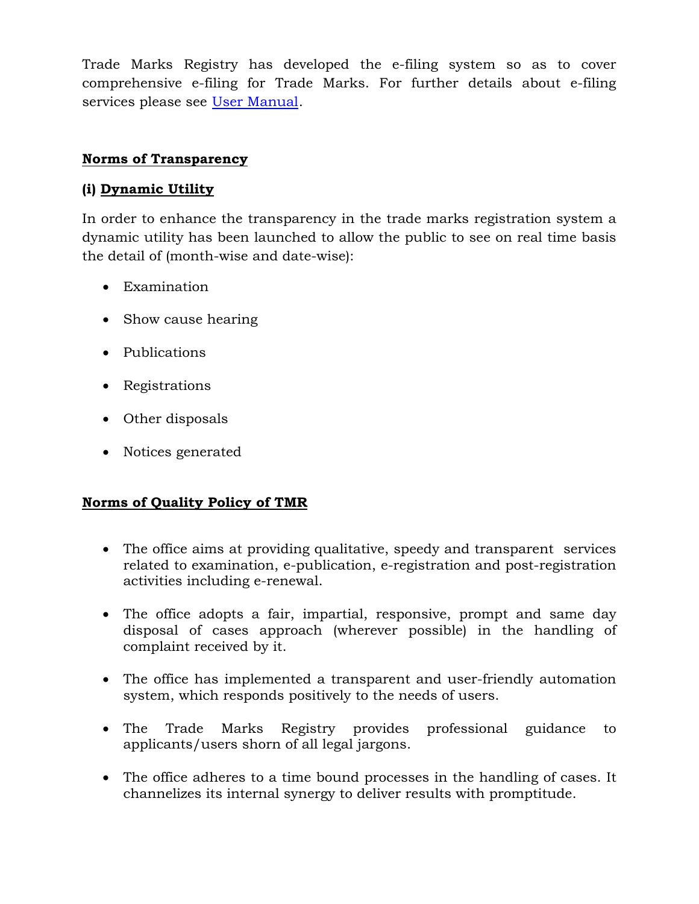Trade Marks Registry has developed the e-filing system so as to cover comprehensive e-filing for Trade Marks. For further details about e-filing services please see [User Manual.](https://ipindiaservices.gov.in/trademarkefiling/UsefullDownloads/User_Manual_etrademarkfiling.pdf)

## **Norms of Transparency**

## **(i) Dynamic Utility**

In order to enhance the transparency in the trade marks registration system a dynamic utility has been launched to allow the public to see on real time basis the detail of (month-wise and date-wise):

- Examination
- Show cause hearing
- Publications
- Registrations
- Other disposals
- Notices generated

## **Norms of Quality Policy of TMR**

- The office aims at providing qualitative, speedy and transparent services related to examination, e-publication, e-registration and post-registration activities including e-renewal.
- The office adopts a fair, impartial, responsive, prompt and same day disposal of cases approach (wherever possible) in the handling of complaint received by it.
- The office has implemented a transparent and user-friendly automation system, which responds positively to the needs of users.
- The Trade Marks Registry provides professional guidance to applicants/users shorn of all legal jargons.
- The office adheres to a time bound processes in the handling of cases. It channelizes its internal synergy to deliver results with promptitude.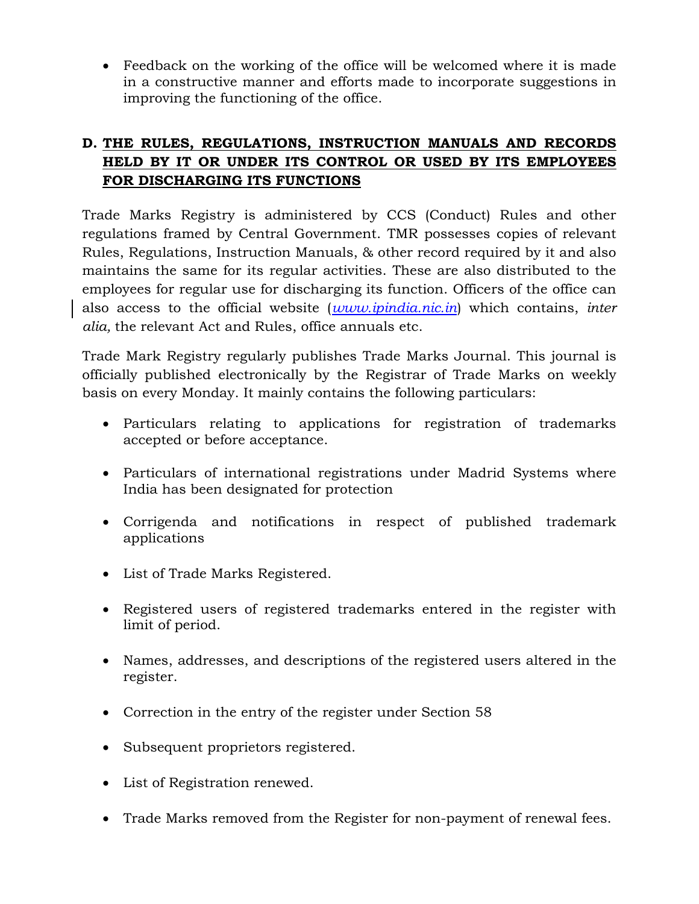• Feedback on the working of the office will be welcomed where it is made in a constructive manner and efforts made to incorporate suggestions in improving the functioning of the office.

## **D. THE RULES, REGULATIONS, INSTRUCTION MANUALS AND RECORDS HELD BY IT OR UNDER ITS CONTROL OR USED BY ITS EMPLOYEES FOR DISCHARGING ITS FUNCTIONS**

Trade Marks Registry is administered by CCS (Conduct) Rules and other regulations framed by Central Government. TMR possesses copies of relevant Rules, Regulations, Instruction Manuals, & other record required by it and also maintains the same for its regular activities. These are also distributed to the employees for regular use for discharging its function. Officers of the office can also access to the official website (*www.ipindia.nic.in*) which contains, *inter alia,* the relevant Act and Rules, office annuals etc.

Trade Mark Registry regularly publishes Trade Marks Journal. This journal is officially published electronically by the Registrar of Trade Marks on weekly basis on every Monday. It mainly contains the following particulars:

- Particulars relating to applications for registration of trademarks accepted or before acceptance.
- Particulars of international registrations under Madrid Systems where India has been designated for protection
- Corrigenda and notifications in respect of published trademark applications
- List of Trade Marks Registered.
- Registered users of registered trademarks entered in the register with limit of period.
- Names, addresses, and descriptions of the registered users altered in the register.
- Correction in the entry of the register under Section 58
- Subsequent proprietors registered.
- List of Registration renewed.
- Trade Marks removed from the Register for non-payment of renewal fees.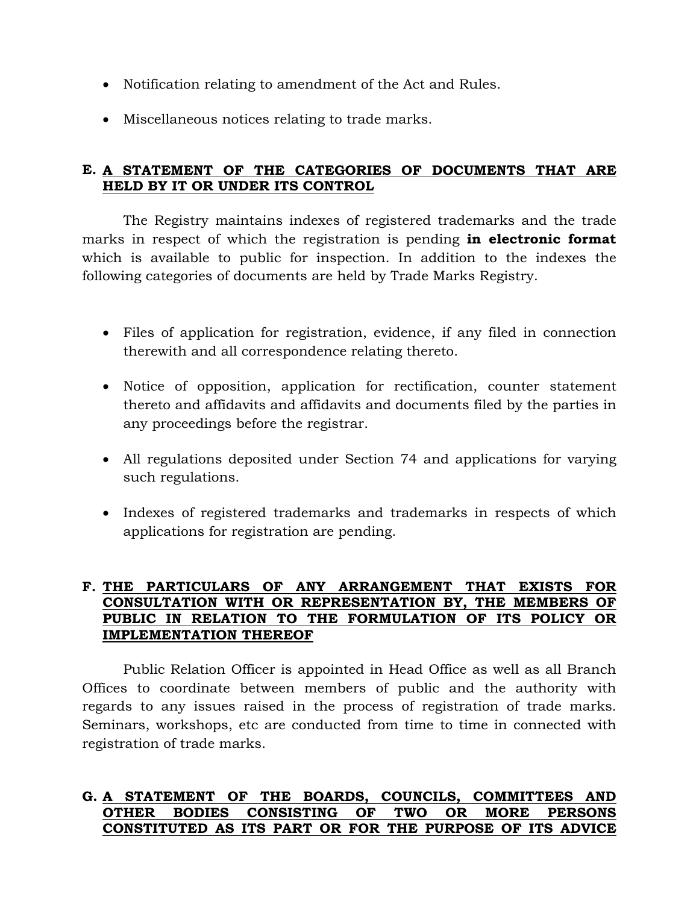- Notification relating to amendment of the Act and Rules.
- Miscellaneous notices relating to trade marks.

## **E. A STATEMENT OF THE CATEGORIES OF DOCUMENTS THAT ARE HELD BY IT OR UNDER ITS CONTROL**

The Registry maintains indexes of registered trademarks and the trade marks in respect of which the registration is pending **in electronic format** which is available to public for inspection. In addition to the indexes the following categories of documents are held by Trade Marks Registry.

- Files of application for registration, evidence, if any filed in connection therewith and all correspondence relating thereto.
- Notice of opposition, application for rectification, counter statement thereto and affidavits and affidavits and documents filed by the parties in any proceedings before the registrar.
- All regulations deposited under Section 74 and applications for varying such regulations.
- Indexes of registered trademarks and trademarks in respects of which applications for registration are pending.

### **F. THE PARTICULARS OF ANY ARRANGEMENT THAT EXISTS FOR CONSULTATION WITH OR REPRESENTATION BY, THE MEMBERS OF PUBLIC IN RELATION TO THE FORMULATION OF ITS POLICY OR IMPLEMENTATION THEREOF**

Public Relation Officer is appointed in Head Office as well as all Branch Offices to coordinate between members of public and the authority with regards to any issues raised in the process of registration of trade marks. Seminars, workshops, etc are conducted from time to time in connected with registration of trade marks.

### **G. A STATEMENT OF THE BOARDS, COUNCILS, COMMITTEES AND OTHER BODIES CONSISTING OF TWO OR MORE PERSONS CONSTITUTED AS ITS PART OR FOR THE PURPOSE OF ITS ADVICE**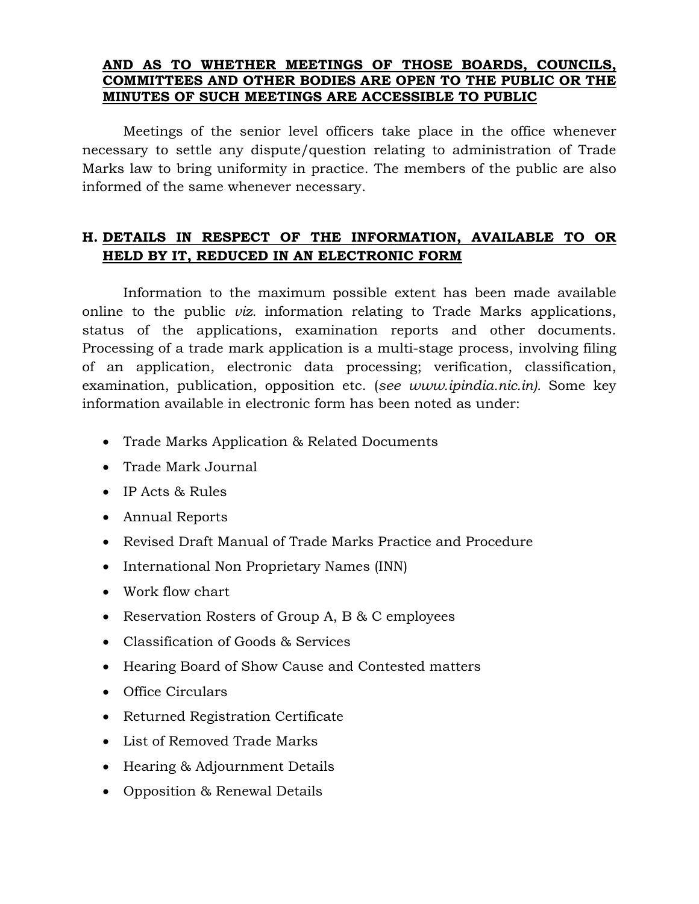### **AND AS TO WHETHER MEETINGS OF THOSE BOARDS, COUNCILS, COMMITTEES AND OTHER BODIES ARE OPEN TO THE PUBLIC OR THE MINUTES OF SUCH MEETINGS ARE ACCESSIBLE TO PUBLIC**

Meetings of the senior level officers take place in the office whenever necessary to settle any dispute/question relating to administration of Trade Marks law to bring uniformity in practice. The members of the public are also informed of the same whenever necessary.

## **H. DETAILS IN RESPECT OF THE INFORMATION, AVAILABLE TO OR HELD BY IT, REDUCED IN AN ELECTRONIC FORM**

Information to the maximum possible extent has been made available online to the public *viz.* information relating to Trade Marks applications, status of the applications, examination reports and other documents. Processing of a trade mark application is a multi-stage process, involving filing of an application, electronic data processing; verification, classification, examination, publication, opposition etc. (*see www.ipindia.nic.in).* Some key information available in electronic form has been noted as under:

- Trade Marks Application & Related Documents
- Trade Mark Journal
- IP Acts & Rules
- Annual Reports
- Revised Draft Manual of Trade Marks Practice and Procedure
- International Non Proprietary Names (INN)
- Work flow chart
- Reservation Rosters of Group A, B & C employees
- Classification of Goods & Services
- Hearing Board of Show Cause and Contested matters
- Office Circulars
- Returned Registration Certificate
- List of Removed Trade Marks
- Hearing & Adjournment Details
- Opposition & Renewal Details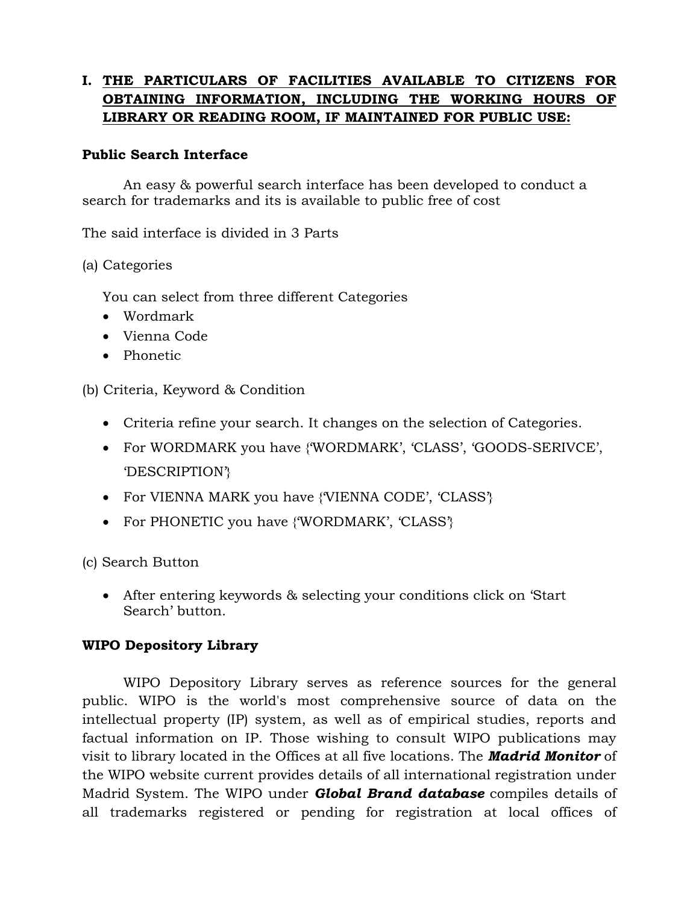## **I. THE PARTICULARS OF FACILITIES AVAILABLE TO CITIZENS FOR OBTAINING INFORMATION, INCLUDING THE WORKING HOURS OF LIBRARY OR READING ROOM, IF MAINTAINED FOR PUBLIC USE:**

### **Public Search Interface**

An easy & powerful search interface has been developed to conduct a search for trademarks and its is available to public free of cost

The said interface is divided in 3 Parts

(a) Categories

You can select from three different Categories

- Wordmark
- Vienna Code
- Phonetic

(b) Criteria, Keyword & Condition

- Criteria refine your search. It changes on the selection of Categories.
- For WORDMARK you have {'WORDMARK', 'CLASS', 'GOODS-SERIVCE', 'DESCRIPTION'}
- For VIENNA MARK you have {'VIENNA CODE', 'CLASS'}
- For PHONETIC you have {'WORDMARK', 'CLASS'}

(c) Search Button

• After entering keywords & selecting your conditions click on 'Start Search' button.

### **WIPO Depository Library**

WIPO Depository Library serves as reference sources for the general public. WIPO is the world's most comprehensive source of data on the intellectual property (IP) system, as well as of empirical studies, reports and factual information on IP. Those wishing to consult WIPO publications may visit to library located in the Offices at all five locations. The *Madrid Monitor* of the WIPO website current provides details of all international registration under Madrid System. The WIPO under *Global Brand database* compiles details of all trademarks registered or pending for registration at local offices of